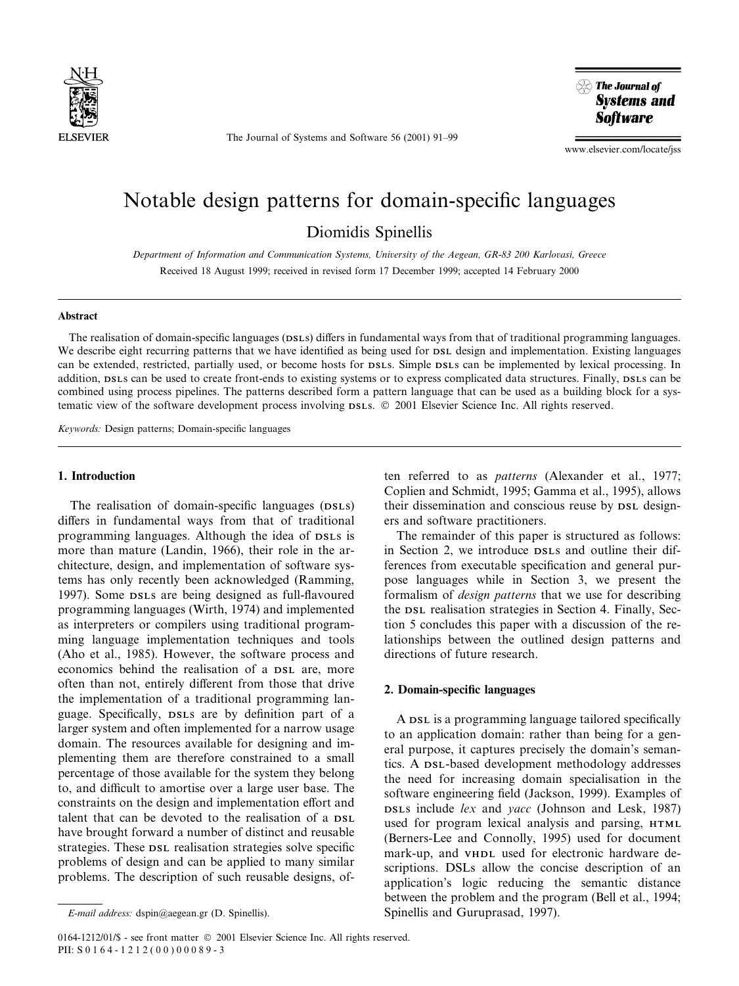

The Journal of Systems and Software 56 (2001) 91-99



www.elsevier.com/locate/jss

# Notable design patterns for domain-specific languages Diomidis Spinellis

Department of Information and Communication Systems, University of the Aegean, GR-83 200 Karlovasi, Greece Received 18 August 1999; received in revised form 17 December 1999; accepted 14 February 2000

#### Abstract

The realisation of domain-specific languages (DSLs) differs in fundamental ways from that of traditional programming languages. We describe eight recurring patterns that we have identified as being used for DSL design and implementation. Existing languages can be extended, restricted, partially used, or become hosts for DSLs. Simple DSLs can be implemented by lexical processing. In addition, DSLs can be used to create front-ends to existing systems or to express complicated data structures. Finally, DSLs can be combined using process pipelines. The patterns described form a pattern language that can be used as a building block for a systematic view of the software development process involving DSLs.  $\odot$  2001 Elsevier Science Inc. All rights reserved.

Keywords: Design patterns; Domain-specific languages

## 1. Introduction

The realisation of domain-specific languages (DSLS) differs in fundamental ways from that of traditional programming languages. Although the idea of DSLs is more than mature (Landin, 1966), their role in the architecture, design, and implementation of software systems has only recently been acknowledged (Ramming, 1997). Some DSLs are being designed as full-flavoured programming languages (Wirth, 1974) and implemented as interpreters or compilers using traditional programming language implementation techniques and tools (Aho et al., 1985). However, the software process and economics behind the realisation of a DSL are, more often than not, entirely different from those that drive the implementation of a traditional programming language. Specifically, DSLs are by definition part of a larger system and often implemented for a narrow usage domain. The resources available for designing and implementing them are therefore constrained to a small percentage of those available for the system they belong to, and difficult to amortise over a large user base. The constraints on the design and implementation effort and talent that can be devoted to the realisation of a DSL have brought forward a number of distinct and reusable strategies. These  $DSL$  realisation strategies solve specific problems of design and can be applied to many similar problems. The description of such reusable designs, often referred to as patterns (Alexander et al., 1977; Coplien and Schmidt, 1995; Gamma et al., 1995), allows their dissemination and conscious reuse by DSL designers and software practitioners.

The remainder of this paper is structured as follows: in Section 2, we introduce DSLs and outline their differences from executable specification and general purpose languages while in Section 3, we present the formalism of design patterns that we use for describing the DSL realisation strategies in Section 4. Finally, Section 5 concludes this paper with a discussion of the relationships between the outlined design patterns and directions of future research.

#### 2. Domain-specific languages

A DSL is a programming language tailored specifically to an application domain: rather than being for a general purpose, it captures precisely the domain's semantics. A DSL-based development methodology addresses the need for increasing domain specialisation in the software engineering field (Jackson, 1999). Examples of DSLs include lex and yacc (Johnson and Lesk, 1987) used for program lexical analysis and parsing, HTML (Berners-Lee and Connolly, 1995) used for document mark-up, and VHDL used for electronic hardware descriptions. DSLs allow the concise description of an application's logic reducing the semantic distance between the problem and the program (Bell et al., 1994; Spinellis and Guruprasad, 1997).

0164-1212/01/\$ - see front matter © 2001 Elsevier Science Inc. All rights reserved. PII: S 0164-1212(00)00089-3

E-mail address: dspin@aegean.gr (D. Spinellis).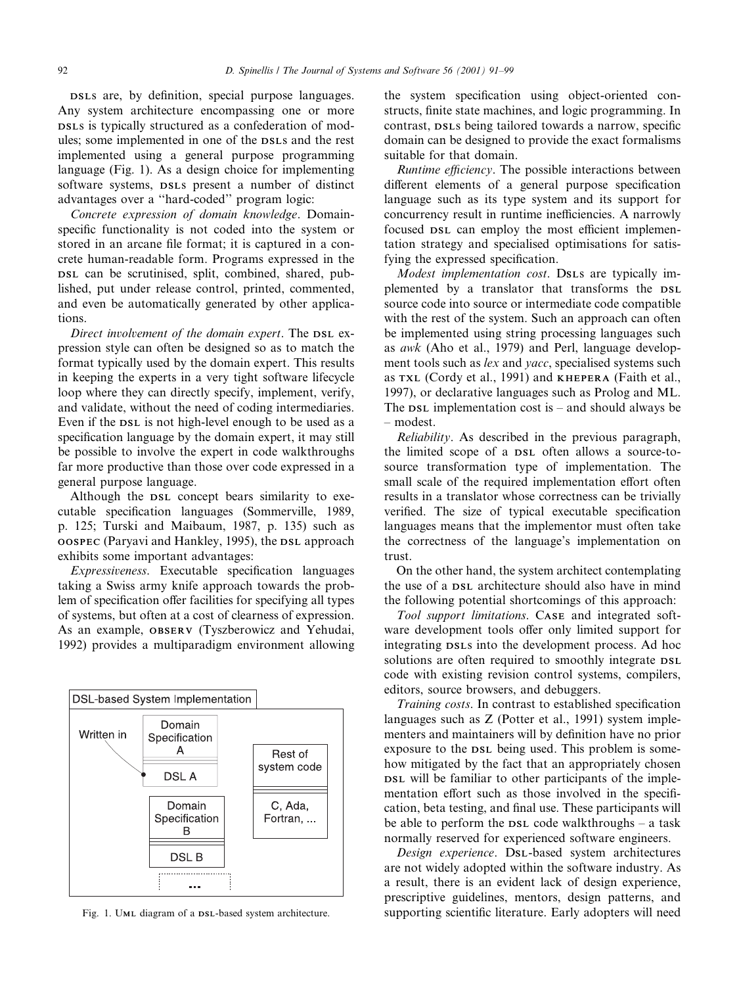DSLS are, by definition, special purpose languages. Any system architecture encompassing one or more DSLs is typically structured as a confederation of modules; some implemented in one of the DSLs and the rest implemented using a general purpose programming language (Fig. 1). As a design choice for implementing software systems, DSLs present a number of distinct advantages over a "hard-coded" program logic:

Concrete expression of domain knowledge. Domainspecific functionality is not coded into the system or stored in an arcane file format; it is captured in a concrete human-readable form. Programs expressed in the DSL can be scrutinised, split, combined, shared, published, put under release control, printed, commented, and even be automatically generated by other applications.

Direct involvement of the domain expert. The DSL expression style can often be designed so as to match the format typically used by the domain expert. This results in keeping the experts in a very tight software lifecycle loop where they can directly specify, implement, verify, and validate, without the need of coding intermediaries. Even if the DSL is not high-level enough to be used as a specification language by the domain expert, it may still be possible to involve the expert in code walkthroughs far more productive than those over code expressed in a general purpose language.

Although the DSL concept bears similarity to executable specification languages (Sommerville, 1989, p. 125; Turski and Maibaum, 1987, p. 135) such as OOSPEC (Paryavi and Hankley, 1995), the DSL approach exhibits some important advantages:

Expressiveness. Executable specification languages taking a Swiss army knife approach towards the problem of specification offer facilities for specifying all types of systems, but often at a cost of clearness of expression. As an example, OBSERV (Tyszberowicz and Yehudai, 1992) provides a multiparadigm environment allowing



the system specification using object-oriented constructs, finite state machines, and logic programming. In contrast, DSLs being tailored towards a narrow, specific domain can be designed to provide the exact formalisms suitable for that domain.

Runtime efficiency. The possible interactions between different elements of a general purpose specification language such as its type system and its support for concurrency result in runtime inefficiencies. A narrowly focused  $DSL$  can employ the most efficient implementation strategy and specialised optimisations for satisfying the expressed specification.

Modest implementation cost. DSLs are typically implemented by a translator that transforms the DSL source code into source or intermediate code compatible with the rest of the system. Such an approach can often be implemented using string processing languages such as awk (Aho et al., 1979) and Perl, language development tools such as lex and yacc, specialised systems such as TXL (Cordy et al., 1991) and KHEPERA (Faith et al., 1997), or declarative languages such as Prolog and ML. The  $DSL$  implementation cost is  $-$  and should always be ± modest.

Reliability. As described in the previous paragraph, the limited scope of a DSL often allows a source-tosource transformation type of implementation. The small scale of the required implementation effort often results in a translator whose correctness can be trivially verified. The size of typical executable specification languages means that the implementor must often take the correctness of the language's implementation on trust.

On the other hand, the system architect contemplating the use of a DSL architecture should also have in mind the following potential shortcomings of this approach:

Tool support limitations. CASE and integrated software development tools offer only limited support for integrating DSLs into the development process. Ad hoc solutions are often required to smoothly integrate  $DSL$ code with existing revision control systems, compilers, editors, source browsers, and debuggers.

Training costs. In contrast to established specification languages such as Z (Potter et al., 1991) system implementers and maintainers will by definition have no prior exposure to the DSL being used. This problem is somehow mitigated by the fact that an appropriately chosen DSL will be familiar to other participants of the implementation effort such as those involved in the specification, beta testing, and final use. These participants will be able to perform the  $\n *DSL* code walk through  $s - a$  task$ normally reserved for experienced software engineers.

Design experience. DSL-based system architectures are not widely adopted within the software industry. As a result, there is an evident lack of design experience, prescriptive guidelines, mentors, design patterns, and Fig. 1. UML diagram of a DSL-based system architecture. Supporting scientific literature. Early adopters will need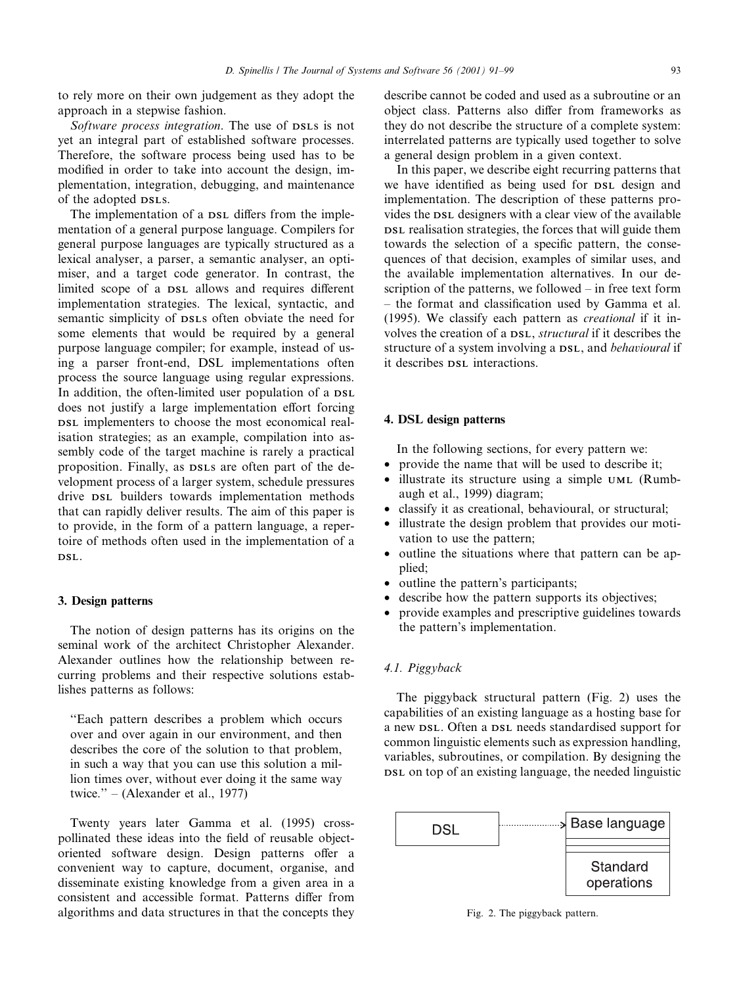to rely more on their own judgement as they adopt the approach in a stepwise fashion.

Software process integration. The use of DSLs is not yet an integral part of established software processes. Therefore, the software process being used has to be modified in order to take into account the design, implementation, integration, debugging, and maintenance of the adopted DSLs.

The implementation of a DSL differs from the implementation of a general purpose language. Compilers for general purpose languages are typically structured as a lexical analyser, a parser, a semantic analyser, an optimiser, and a target code generator. In contrast, the limited scope of a DSL allows and requires different implementation strategies. The lexical, syntactic, and semantic simplicity of DSLs often obviate the need for some elements that would be required by a general purpose language compiler; for example, instead of using a parser front-end, DSL implementations often process the source language using regular expressions. In addition, the often-limited user population of a DSL does not justify a large implementation effort forcing DSL implementers to choose the most economical realisation strategies; as an example, compilation into assembly code of the target machine is rarely a practical proposition. Finally, as DSLs are often part of the development process of a larger system, schedule pressures drive DSL builders towards implementation methods that can rapidly deliver results. The aim of this paper is to provide, in the form of a pattern language, a repertoire of methods often used in the implementation of a DSL.

#### 3. Design patterns

The notion of design patterns has its origins on the seminal work of the architect Christopher Alexander. Alexander outlines how the relationship between recurring problems and their respective solutions establishes patterns as follows:

``Each pattern describes a problem which occurs over and over again in our environment, and then describes the core of the solution to that problem, in such a way that you can use this solution a million times over, without ever doing it the same way twice."  $-$  (Alexander et al., 1977)

Twenty years later Gamma et al. (1995) crosspollinated these ideas into the field of reusable objectoriented software design. Design patterns offer a convenient way to capture, document, organise, and disseminate existing knowledge from a given area in a consistent and accessible format. Patterns differ from algorithms and data structures in that the concepts they describe cannot be coded and used as a subroutine or an object class. Patterns also differ from frameworks as they do not describe the structure of a complete system: interrelated patterns are typically used together to solve a general design problem in a given context.

In this paper, we describe eight recurring patterns that we have identified as being used for  $DSL$  design and implementation. The description of these patterns provides the DSL designers with a clear view of the available DSL realisation strategies, the forces that will guide them towards the selection of a specific pattern, the consequences of that decision, examples of similar uses, and the available implementation alternatives. In our description of the patterns, we followed  $-\text{ in free text form}$ - the format and classification used by Gamma et al. (1995). We classify each pattern as creational if it involves the creation of a DSL, structural if it describes the structure of a system involving a  $DSL$ , and *behavioural* if it describes DSL interactions.

# 4. DSL design patterns

In the following sections, for every pattern we:

- provide the name that will be used to describe it;
- illustrate its structure using a simple UML (Rumbaugh et al., 1999) diagram;
- · classify it as creational, behavioural, or structural;
- illustrate the design problem that provides our motivation to use the pattern;
- · outline the situations where that pattern can be applied;
- outline the pattern's participants;
- describe how the pattern supports its objectives:
- provide examples and prescriptive guidelines towards the pattern's implementation.

## 4.1. Piggyback

The piggyback structural pattern (Fig. 2) uses the capabilities of an existing language as a hosting base for a new DSL. Often a DSL needs standardised support for common linguistic elements such as expression handling, variables, subroutines, or compilation. By designing the DSL on top of an existing language, the needed linguistic



Fig. 2. The piggyback pattern.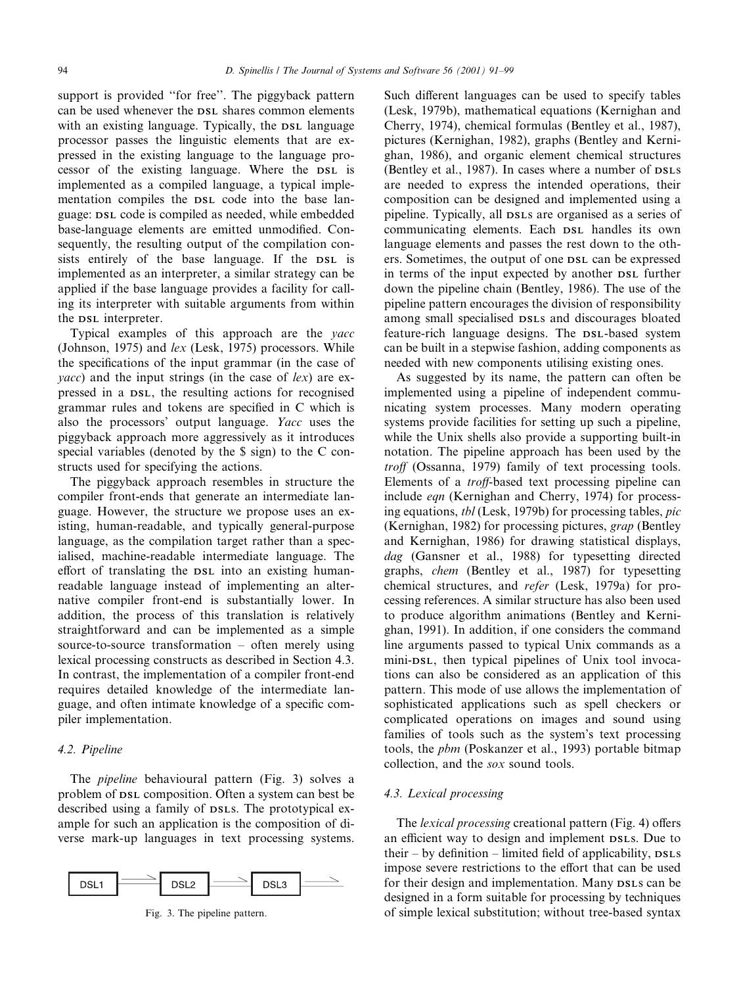support is provided "for free". The piggyback pattern can be used whenever the DSL shares common elements with an existing language. Typically, the DSL language processor passes the linguistic elements that are expressed in the existing language to the language processor of the existing language. Where the DSL is implemented as a compiled language, a typical implementation compiles the DSL code into the base language: DSL code is compiled as needed, while embedded base-language elements are emitted unmodified. Consequently, the resulting output of the compilation consists entirely of the base language. If the DSL is implemented as an interpreter, a similar strategy can be applied if the base language provides a facility for calling its interpreter with suitable arguments from within the DSL interpreter.

Typical examples of this approach are the yacc (Johnson, 1975) and lex (Lesk, 1975) processors. While the specifications of the input grammar (in the case of *yacc*) and the input strings (in the case of  $lex$ ) are expressed in a DSL, the resulting actions for recognised grammar rules and tokens are specified in C which is also the processors' output language. Yacc uses the piggyback approach more aggressively as it introduces special variables (denoted by the \$ sign) to the C constructs used for specifying the actions.

The piggyback approach resembles in structure the compiler front-ends that generate an intermediate language. However, the structure we propose uses an existing, human-readable, and typically general-purpose language, as the compilation target rather than a specialised, machine-readable intermediate language. The effort of translating the DSL into an existing humanreadable language instead of implementing an alternative compiler front-end is substantially lower. In addition, the process of this translation is relatively straightforward and can be implemented as a simple source-to-source transformation  $-$  often merely using lexical processing constructs as described in Section 4.3. In contrast, the implementation of a compiler front-end requires detailed knowledge of the intermediate language, and often intimate knowledge of a specific compiler implementation.

## 4.2. Pipeline

The pipeline behavioural pattern (Fig. 3) solves a problem of DSL composition. Often a system can best be described using a family of DSLs. The prototypical example for such an application is the composition of diverse mark-up languages in text processing systems.



Such different languages can be used to specify tables (Lesk, 1979b), mathematical equations (Kernighan and Cherry, 1974), chemical formulas (Bentley et al., 1987), pictures (Kernighan, 1982), graphs (Bentley and Kernighan, 1986), and organic element chemical structures (Bentley et al., 1987). In cases where a number of DSLs are needed to express the intended operations, their composition can be designed and implemented using a pipeline. Typically, all DSLs are organised as a series of communicating elements. Each DSL handles its own language elements and passes the rest down to the others. Sometimes, the output of one DSL can be expressed in terms of the input expected by another DSL further down the pipeline chain (Bentley, 1986). The use of the pipeline pattern encourages the division of responsibility among small specialised DSLs and discourages bloated feature-rich language designs. The DSL-based system can be built in a stepwise fashion, adding components as needed with new components utilising existing ones.

As suggested by its name, the pattern can often be implemented using a pipeline of independent communicating system processes. Many modern operating systems provide facilities for setting up such a pipeline, while the Unix shells also provide a supporting built-in notation. The pipeline approach has been used by the troff (Ossanna, 1979) family of text processing tools. Elements of a *troff*-based text processing pipeline can include eqn (Kernighan and Cherry, 1974) for processing equations, tbl (Lesk, 1979b) for processing tables, pic (Kernighan, 1982) for processing pictures, grap (Bentley and Kernighan, 1986) for drawing statistical displays, dag (Gansner et al., 1988) for typesetting directed graphs, chem (Bentley et al., 1987) for typesetting chemical structures, and refer (Lesk, 1979a) for processing references. A similar structure has also been used to produce algorithm animations (Bentley and Kernighan, 1991). In addition, if one considers the command line arguments passed to typical Unix commands as a mini-DSL, then typical pipelines of Unix tool invocations can also be considered as an application of this pattern. This mode of use allows the implementation of sophisticated applications such as spell checkers or complicated operations on images and sound using families of tools such as the system's text processing tools, the pbm (Poskanzer et al., 1993) portable bitmap collection, and the sox sound tools.

#### 4.3. Lexical processing

The *lexical processing* creational pattern (Fig. 4) offers an efficient way to design and implement DSLs. Due to their  $-$  by definition  $-$  limited field of applicability,  $_{\text{DSLS}}$ impose severe restrictions to the effort that can be used for their design and implementation. Many DSLs can be designed in a form suitable for processing by techniques Fig. 3. The pipeline pattern. only of simple lexical substitution; without tree-based syntax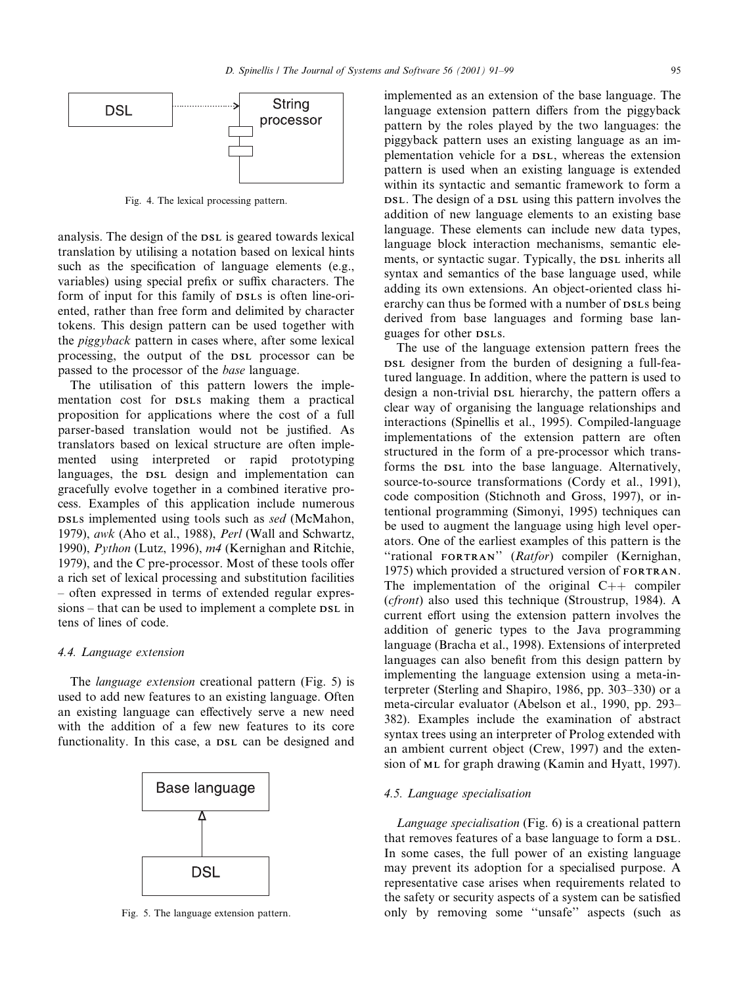

Fig. 4. The lexical processing pattern.

analysis. The design of the DSL is geared towards lexical translation by utilising a notation based on lexical hints such as the specification of language elements (e.g., variables) using special prefix or suffix characters. The form of input for this family of DSLs is often line-oriented, rather than free form and delimited by character tokens. This design pattern can be used together with the piggyback pattern in cases where, after some lexical processing, the output of the DSL processor can be passed to the processor of the base language.

The utilisation of this pattern lowers the implementation cost for DSLs making them a practical proposition for applications where the cost of a full parser-based translation would not be justified. As translators based on lexical structure are often implemented using interpreted or rapid prototyping languages, the DSL design and implementation can gracefully evolve together in a combined iterative process. Examples of this application include numerous DSLs implemented using tools such as sed (McMahon, 1979), awk (Aho et al., 1988), Perl (Wall and Schwartz, 1990), Python (Lutz, 1996), m4 (Kernighan and Ritchie, 1979), and the  $C$  pre-processor. Most of these tools offer a rich set of lexical processing and substitution facilities ± often expressed in terms of extended regular expressions – that can be used to implement a complete DSL in tens of lines of code.

#### 4.4. Language extension

The language extension creational pattern (Fig. 5) is used to add new features to an existing language. Often an existing language can effectively serve a new need with the addition of a few new features to its core functionality. In this case, a DSL can be designed and



implemented as an extension of the base language. The language extension pattern differs from the piggyback pattern by the roles played by the two languages: the piggyback pattern uses an existing language as an implementation vehicle for a DSL, whereas the extension pattern is used when an existing language is extended within its syntactic and semantic framework to form a DSL. The design of a DSL using this pattern involves the addition of new language elements to an existing base language. These elements can include new data types, language block interaction mechanisms, semantic elements, or syntactic sugar. Typically, the DSL inherits all syntax and semantics of the base language used, while adding its own extensions. An object-oriented class hierarchy can thus be formed with a number of DSLs being derived from base languages and forming base languages for other DSLs.

The use of the language extension pattern frees the DSL designer from the burden of designing a full-featured language. In addition, where the pattern is used to design a non-trivial DSL hierarchy, the pattern offers a clear way of organising the language relationships and interactions (Spinellis et al., 1995). Compiled-language implementations of the extension pattern are often structured in the form of a pre-processor which transforms the DSL into the base language. Alternatively, source-to-source transformations (Cordy et al., 1991), code composition (Stichnoth and Gross, 1997), or intentional programming (Simonyi, 1995) techniques can be used to augment the language using high level operators. One of the earliest examples of this pattern is the "rational FORTRAN" (Ratfor) compiler (Kernighan, 1975) which provided a structured version of FORTRAN. The implementation of the original  $C++$  compiler (cfront) also used this technique (Stroustrup, 1984). A current effort using the extension pattern involves the addition of generic types to the Java programming language (Bracha et al., 1998). Extensions of interpreted languages can also benefit from this design pattern by implementing the language extension using a meta-interpreter (Sterling and Shapiro, 1986, pp. 303 $-330$ ) or a meta-circular evaluator (Abelson et al., 1990, pp. 293– 382). Examples include the examination of abstract syntax trees using an interpreter of Prolog extended with an ambient current object (Crew, 1997) and the extension of ML for graph drawing (Kamin and Hyatt, 1997).

#### 4.5. Language specialisation

Language specialisation (Fig. 6) is a creational pattern that removes features of a base language to form a DSL. In some cases, the full power of an existing language may prevent its adoption for a specialised purpose. A representative case arises when requirements related to the safety or security aspects of a system can be satisfied Fig. 5. The language extension pattern.  $\qquad \qquad \text{only} \qquad \text{b}y \qquad \text{removing} \quad \text{some} \quad \text{``unsafe''} \quad \text{aspects} \quad \text{(such as)}$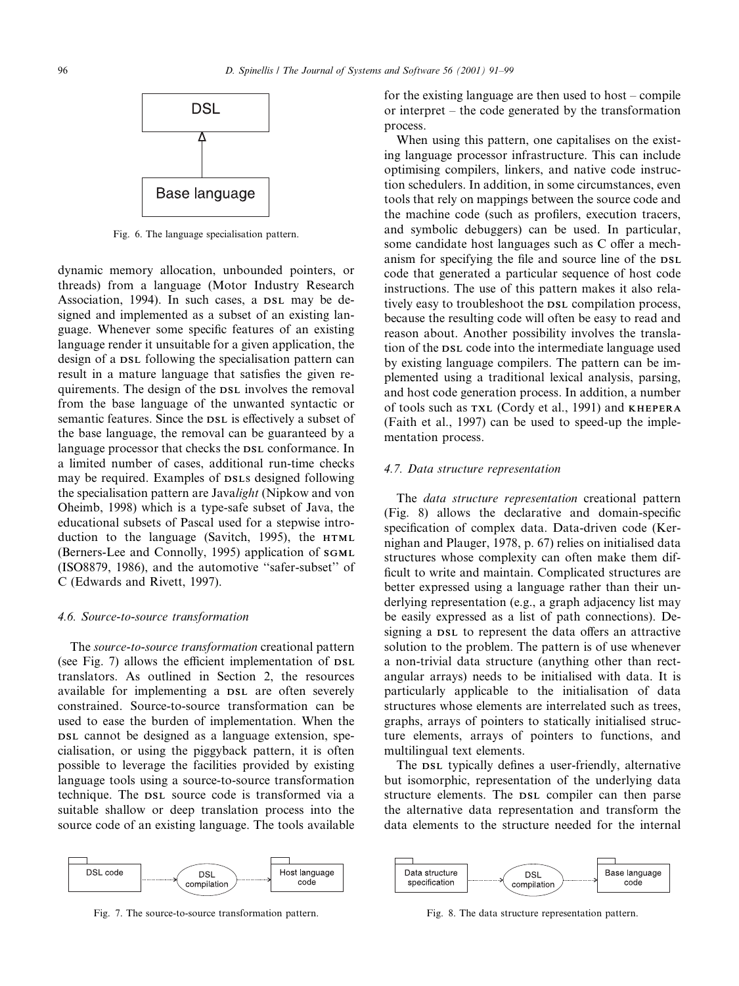

Fig. 6. The language specialisation pattern.

dynamic memory allocation, unbounded pointers, or threads) from a language (Motor Industry Research Association, 1994). In such cases, a DSL may be designed and implemented as a subset of an existing language. Whenever some specific features of an existing language render it unsuitable for a given application, the design of a DSL following the specialisation pattern can result in a mature language that satisfies the given requirements. The design of the DSL involves the removal from the base language of the unwanted syntactic or semantic features. Since the DSL is effectively a subset of the base language, the removal can be guaranteed by a language processor that checks the DSL conformance. In a limited number of cases, additional run-time checks may be required. Examples of DSLs designed following the specialisation pattern are Javalight (Nipkow and von Oheimb, 1998) which is a type-safe subset of Java, the educational subsets of Pascal used for a stepwise introduction to the language (Savitch, 1995), the HTML (Berners-Lee and Connolly, 1995) application of SGML (ISO8879, 1986), and the automotive "safer-subset" of C (Edwards and Rivett, 1997).

#### 4.6. Source-to-source transformation

The source-to-source transformation creational pattern (see Fig. 7) allows the efficient implementation of DSL translators. As outlined in Section 2, the resources available for implementing a DSL are often severely constrained. Source-to-source transformation can be used to ease the burden of implementation. When the DSL cannot be designed as a language extension, specialisation, or using the piggyback pattern, it is often possible to leverage the facilities provided by existing language tools using a source-to-source transformation technique. The DSL source code is transformed via a suitable shallow or deep translation process into the source code of an existing language. The tools available



Fig. 7. The source-to-source transformation pattern. Fig. 8. The data structure representation pattern.

for the existing language are then used to host  $-\text{compile}$ or interpret  $-\theta$  the code generated by the transformation process.

When using this pattern, one capitalises on the existing language processor infrastructure. This can include optimising compilers, linkers, and native code instruction schedulers. In addition, in some circumstances, even tools that rely on mappings between the source code and the machine code (such as profilers, execution tracers, and symbolic debuggers) can be used. In particular, some candidate host languages such as C offer a mechanism for specifying the file and source line of the DSL code that generated a particular sequence of host code instructions. The use of this pattern makes it also relatively easy to troubleshoot the DSL compilation process, because the resulting code will often be easy to read and reason about. Another possibility involves the translation of the DSL code into the intermediate language used by existing language compilers. The pattern can be implemented using a traditional lexical analysis, parsing, and host code generation process. In addition, a number of tools such as TXL (Cordy et al., 1991) and KHEPERA (Faith et al., 1997) can be used to speed-up the implementation process.

#### 4.7. Data structure representation

The data structure representation creational pattern  $(Fig. 8)$  allows the declarative and domain-specific specification of complex data. Data-driven code (Kernighan and Plauger, 1978, p. 67) relies on initialised data structures whose complexity can often make them dif ficult to write and maintain. Complicated structures are better expressed using a language rather than their underlying representation (e.g., a graph adjacency list may be easily expressed as a list of path connections). Designing a DSL to represent the data offers an attractive solution to the problem. The pattern is of use whenever a non-trivial data structure (anything other than rectangular arrays) needs to be initialised with data. It is particularly applicable to the initialisation of data structures whose elements are interrelated such as trees, graphs, arrays of pointers to statically initialised structure elements, arrays of pointers to functions, and multilingual text elements.

The DSL typically defines a user-friendly, alternative but isomorphic, representation of the underlying data structure elements. The DSL compiler can then parse the alternative data representation and transform the data elements to the structure needed for the internal

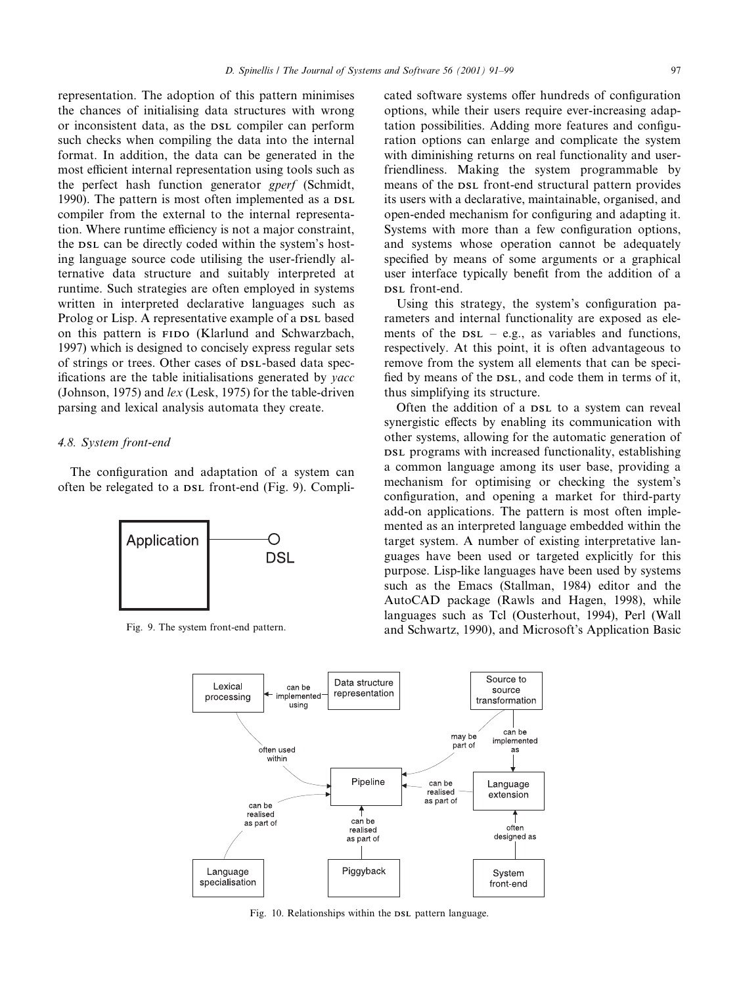representation. The adoption of this pattern minimises the chances of initialising data structures with wrong or inconsistent data, as the DSL compiler can perform such checks when compiling the data into the internal format. In addition, the data can be generated in the most efficient internal representation using tools such as the perfect hash function generator gperf (Schmidt, 1990). The pattern is most often implemented as a DSL compiler from the external to the internal representation. Where runtime efficiency is not a major constraint, the DSL can be directly coded within the system's hosting language source code utilising the user-friendly alternative data structure and suitably interpreted at runtime. Such strategies are often employed in systems written in interpreted declarative languages such as Prolog or Lisp. A representative example of a DSL based on this pattern is FIDO (Klarlund and Schwarzbach, 1997) which is designed to concisely express regular sets of strings or trees. Other cases of DSL-based data specifications are the table initialisations generated by *vacc* (Johnson, 1975) and lex (Lesk, 1975) for the table-driven parsing and lexical analysis automata they create.

## 4.8. System front-end

The configuration and adaptation of a system can often be relegated to a DSL front-end (Fig. 9). Compli-



cated software systems offer hundreds of configuration options, while their users require ever-increasing adaptation possibilities. Adding more features and configuration options can enlarge and complicate the system with diminishing returns on real functionality and userfriendliness. Making the system programmable by means of the DSL front-end structural pattern provides its users with a declarative, maintainable, organised, and open-ended mechanism for configuring and adapting it. Systems with more than a few configuration options, and systems whose operation cannot be adequately specified by means of some arguments or a graphical user interface typically benefit from the addition of a DSL front-end.

Using this strategy, the system's configuration parameters and internal functionality are exposed as elements of the  $DSL - e.g.,$  as variables and functions, respectively. At this point, it is often advantageous to remove from the system all elements that can be speci fied by means of the DSL, and code them in terms of it, thus simplifying its structure.

Often the addition of a DSL to a system can reveal synergistic effects by enabling its communication with other systems, allowing for the automatic generation of DSL programs with increased functionality, establishing a common language among its user base, providing a mechanism for optimising or checking the system's configuration, and opening a market for third-party add-on applications. The pattern is most often implemented as an interpreted language embedded within the target system. A number of existing interpretative languages have been used or targeted explicitly for this purpose. Lisp-like languages have been used by systems such as the Emacs (Stallman, 1984) editor and the AutoCAD package (Rawls and Hagen, 1998), while languages such as Tcl (Ousterhout, 1994), Perl (Wall Fig. 9. The system front-end pattern. and Schwartz, 1990), and Microsoft's Application Basic



Fig. 10. Relationships within the DSL pattern language.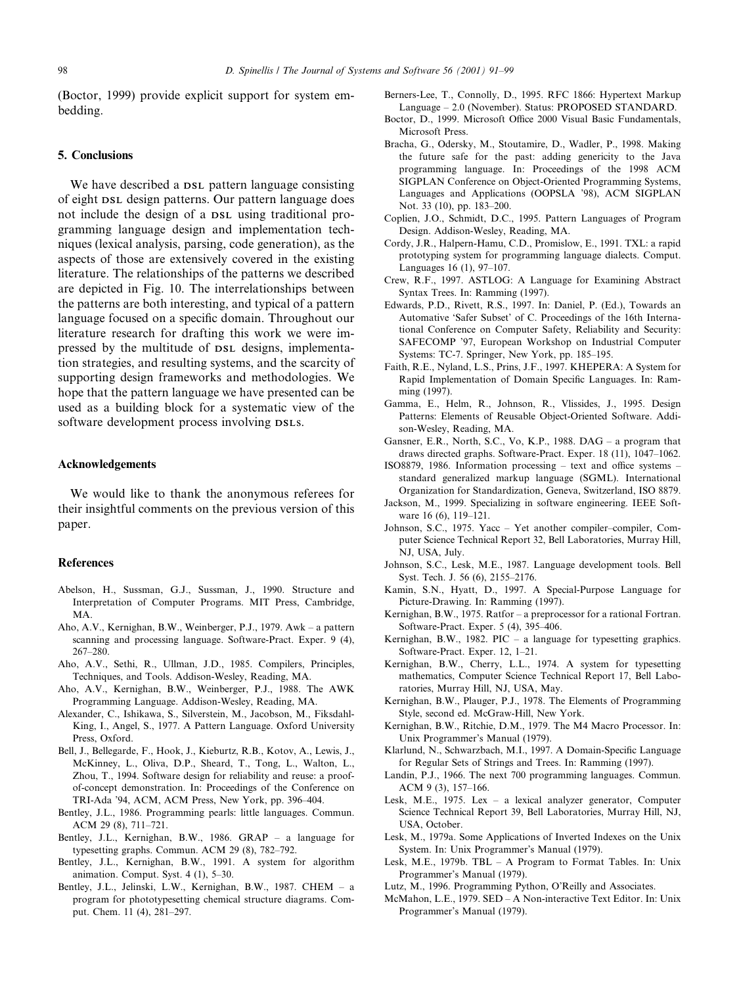(Boctor, 1999) provide explicit support for system embedding.

#### 5. Conclusions

We have described a  $DSL$  pattern language consisting of eight DSL design patterns. Our pattern language does not include the design of a DSL using traditional programming language design and implementation techniques (lexical analysis, parsing, code generation), as the aspects of those are extensively covered in the existing literature. The relationships of the patterns we described are depicted in Fig. 10. The interrelationships between the patterns are both interesting, and typical of a pattern language focused on a specific domain. Throughout our literature research for drafting this work we were impressed by the multitude of DSL designs, implementation strategies, and resulting systems, and the scarcity of supporting design frameworks and methodologies. We hope that the pattern language we have presented can be used as a building block for a systematic view of the software development process involving DSLs.

## Acknowledgements

We would like to thank the anonymous referees for their insightful comments on the previous version of this paper.

## References

- Abelson, H., Sussman, G.J., Sussman, J., 1990. Structure and Interpretation of Computer Programs. MIT Press, Cambridge, MA.
- Aho, A.V., Kernighan, B.W., Weinberger, P.J., 1979. Awk a pattern scanning and processing language. Software-Pract. Exper. 9 (4), 267±280.
- Aho, A.V., Sethi, R., Ullman, J.D., 1985. Compilers, Principles, Techniques, and Tools. Addison-Wesley, Reading, MA.
- Aho, A.V., Kernighan, B.W., Weinberger, P.J., 1988. The AWK Programming Language. Addison-Wesley, Reading, MA.
- Alexander, C., Ishikawa, S., Silverstein, M., Jacobson, M., Fiksdahl-King, I., Angel, S., 1977. A Pattern Language. Oxford University Press, Oxford.
- Bell, J., Bellegarde, F., Hook, J., Kieburtz, R.B., Kotov, A., Lewis, J., McKinney, L., Oliva, D.P., Sheard, T., Tong, L., Walton, L., Zhou, T., 1994. Software design for reliability and reuse: a proofof-concept demonstration. In: Proceedings of the Conference on TRI-Ada '94, ACM, ACM Press, New York, pp. 396-404.
- Bentley, J.L., 1986. Programming pearls: little languages. Commun. ACM 29 (8), 711-721.
- Bentley, J.L., Kernighan, B.W., 1986. GRAP a language for typesetting graphs. Commun. ACM  $29(8)$ ,  $782-792$ .
- Bentley, J.L., Kernighan, B.W., 1991. A system for algorithm animation. Comput. Syst.  $4(1)$ ,  $5-30$ .
- Bentley, J.L., Jelinski, L.W., Kernighan, B.W., 1987. CHEM a program for phototypesetting chemical structure diagrams. Comput. Chem. 11 (4), 281-297.
- Berners-Lee, T., Connolly, D., 1995. RFC 1866: Hypertext Markup Language – 2.0 (November). Status: PROPOSED STANDARD.
- Boctor, D., 1999. Microsoft Office 2000 Visual Basic Fundamentals, Microsoft Press.
- Bracha, G., Odersky, M., Stoutamire, D., Wadler, P., 1998. Making the future safe for the past: adding genericity to the Java programming language. In: Proceedings of the 1998 ACM SIGPLAN Conference on Object-Oriented Programming Systems, Languages and Applications (OOPSLA '98), ACM SIGPLAN Not. 33 (10), pp. 183-200.
- Coplien, J.O., Schmidt, D.C., 1995. Pattern Languages of Program Design. Addison-Wesley, Reading, MA.
- Cordy, J.R., Halpern-Hamu, C.D., Promislow, E., 1991. TXL: a rapid prototyping system for programming language dialects. Comput. Languages  $16(1)$ , 97-107.
- Crew, R.F., 1997. ASTLOG: A Language for Examining Abstract Syntax Trees. In: Ramming (1997).
- Edwards, P.D., Rivett, R.S., 1997. In: Daniel, P. (Ed.), Towards an Automative `Safer Subset' of C. Proceedings of the 16th International Conference on Computer Safety, Reliability and Security: SAFECOMP '97, European Workshop on Industrial Computer Systems: TC-7. Springer, New York, pp. 185-195.
- Faith, R.E., Nyland, L.S., Prins, J.F., 1997. KHEPERA: A System for Rapid Implementation of Domain Specific Languages. In: Ramming (1997).
- Gamma, E., Helm, R., Johnson, R., Vlissides, J., 1995. Design Patterns: Elements of Reusable Object-Oriented Software. Addison-Wesley, Reading, MA.
- Gansner, E.R., North, S.C., Vo, K.P., 1988.  $DAG a$  program that draws directed graphs. Software-Pract. Exper.  $18$  (11),  $1047-1062$ .
- ISO8879, 1986. Information processing  $-$  text and office systems  $$ standard generalized markup language (SGML). International Organization for Standardization, Geneva, Switzerland, ISO 8879.
- Jackson, M., 1999. Specializing in software engineering. IEEE Software 16 (6), 119-121.
- Johnson, S.C., 1975. Yacc Yet another compiler-compiler, Computer Science Technical Report 32, Bell Laboratories, Murray Hill, NJ, USA, July.
- Johnson, S.C., Lesk, M.E., 1987. Language development tools. Bell Syst. Tech. J. 56 (6), 2155-2176.
- Kamin, S.N., Hyatt, D., 1997. A Special-Purpose Language for Picture-Drawing. In: Ramming (1997).
- Kernighan, B.W., 1975. Ratfor a preprocessor for a rational Fortran. Software-Pract. Exper. 5 (4), 395-406.
- Kernighan, B.W., 1982. PIC  $-$  a language for typesetting graphics. Software-Pract. Exper. 12, 1-21.
- Kernighan, B.W., Cherry, L.L., 1974. A system for typesetting mathematics, Computer Science Technical Report 17, Bell Laboratories, Murray Hill, NJ, USA, May.
- Kernighan, B.W., Plauger, P.J., 1978. The Elements of Programming Style, second ed. McGraw-Hill, New York.
- Kernighan, B.W., Ritchie, D.M., 1979. The M4 Macro Processor. In: Unix Programmer's Manual (1979).
- Klarlund, N., Schwarzbach, M.I., 1997. A Domain-Specific Language for Regular Sets of Strings and Trees. In: Ramming (1997).
- Landin, P.J., 1966. The next 700 programming languages. Commun. ACM 9 (3), 157-166.
- Lesk, M.E., 1975. Lex  $-$  a lexical analyzer generator, Computer Science Technical Report 39, Bell Laboratories, Murray Hill, NJ, USA, October.
- Lesk, M., 1979a. Some Applications of Inverted Indexes on the Unix System. In: Unix Programmer's Manual (1979).
- Lesk, M.E., 1979b. TBL A Program to Format Tables. In: Unix Programmer's Manual (1979).
- Lutz, M., 1996. Programming Python, O'Reilly and Associates.
- McMahon, L.E., 1979. SED A Non-interactive Text Editor. In: Unix Programmer's Manual (1979).